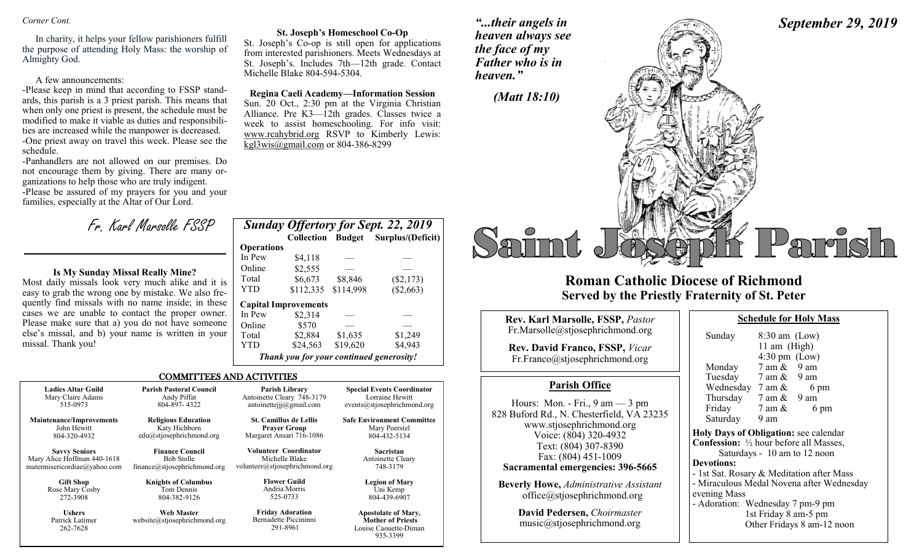### *Corner Cont.*

In charity, it helps your fellow parishioners fulfill the purpose of attending Holy Mass: the worship of Almighty God.

### A few announcements:

-Please keep in mind that according to FSSP standards, this parish is a 3 priest parish. This means that when only one priest is present, the schedule must be modified to make it viable as duties and responsibilities are increased while the manpower is decreased. -One priest away on travel this week. Please see the schedule.

-Panhandlers are not allowed on our premises. Do not encourage them by giving. There are many organizations to help those who are truly indigent. -Please be assured of my prayers for you and your families, especially at the Altar of Our Lord.

Fr. Karl Marsolle FSSP

### **Is My Sunday Missal Really Mine?**

Most daily missals look very much alike and it is easy to grab the wrong one by mistake. We also frequently find missals with no name inside; in these cases we are unable to contact the proper owner. Please make sure that a) you do not have someone else's missal, and b) your name is written in your missal. Thank you!

### **St. Joseph's Homeschool Co-Op**

St. Joseph's Co-op is still open for applications from interested parishioners. Meets Wednesdays at St. Joseph's. Includes 7th—12th grade. Contact Michelle Blake 804-594-5304.

### **Regina Caeli Academy—Information Session** Sun. 20 Oct., 2:30 pm at the Virginia Christian

Alliance. Pre K3—12th grades. Classes twice a week to assist homeschooling. For info visit: www.rcahybrid.org RSVP to Kimberly Lewis:  $kgl3wis@gmail.com$  or 804-386-8299

|                   |                                          |           | <b>Sunday Offertory for Sept. 22, 2019</b> |
|-------------------|------------------------------------------|-----------|--------------------------------------------|
|                   | <b>Collection Budget</b>                 |           | Surplus/(Deficit)                          |
| <b>Operations</b> |                                          |           |                                            |
| In Pew            | \$4.118                                  |           |                                            |
| Online            | \$2,555                                  |           |                                            |
| Total             | \$6,673                                  | \$8,846   | $(\$2,173)$                                |
| <b>YTD</b>        | \$112,335                                | \$114,998 | (\$2,663)                                  |
|                   | <b>Capital Improvements</b>              |           |                                            |
| In Pew            | \$2,314                                  |           |                                            |
| Online            | \$570                                    |           |                                            |
| Total             | \$2,884                                  | \$1,635   | \$1,249                                    |
| YTD               | \$24,563                                 | \$19,620  | \$4,943                                    |
|                   | Thank you for your continued generosity! |           |                                            |

935-3399

### COMMITTEES AND ACTIVITIES

| <b>Ladies Altar Guild</b>                    | <b>Parish Pastoral Council</b>             | Parish Library                                               | <b>Special Events Coordinator</b>                                               |
|----------------------------------------------|--------------------------------------------|--------------------------------------------------------------|---------------------------------------------------------------------------------|
| Mary Claire Adams                            | Andy Piffat                                | Antoinette Cleary 748-3179                                   | Lorraine Hewitt                                                                 |
| 515-0973                                     | 804-897-4322                               | antoinetteijj@gmail.com                                      | events@stjosephrichmond.org                                                     |
| Maintenance/Improvements                     | <b>Religious Education</b>                 | <b>St. Camillus de Lellis</b>                                | <b>Safe Environment Committee</b>                                               |
| John Hewitt                                  | Katy Hichborn                              | <b>Prayer Group</b>                                          | Mary Poerstel                                                                   |
| 804-320-4932                                 | edu@stjosephrichmond.org                   | Margaret Ansari 716-1086                                     | 804-432-5134                                                                    |
| <b>Savvy Seniors</b>                         | <b>Finance Council</b>                     | Volunteer Coordinator                                        | <b>Sacristan</b>                                                                |
| Mary Alice Hoffman 440-1618                  | <b>Bob Stolle</b>                          | Michelle Blake                                               | Antoinette Cleary                                                               |
| matermisericordiae@yahoo.com                 | finance@stjosephrichmond.org               | volunteer@stjosephrichmond.org                               | 748-3179                                                                        |
| <b>Gift Shop</b>                             | <b>Knights of Columbus</b>                 | <b>Flower Guild</b>                                          | <b>Legion of Mary</b>                                                           |
| Rose Mary Cosby                              | Tom Dennis                                 | Andria Morris                                                | Uni Kemp                                                                        |
| 272-3908                                     | 804-382-9126                               | 525-0733                                                     | 804-439-6907                                                                    |
| <b>Ushers</b><br>Patrick Latimer<br>262-7628 | Web Master<br>website@stjosephrichmond.org | <b>Friday Adoration</b><br>Bernadette Piccininni<br>291-8961 | <b>Apostolate of Mary,</b><br><b>Mother of Priests</b><br>Louise Caouette-Diman |

*"...their angels in heaven always see the face of my Father who is in heaven."*

# *September 29, 2019*



## **Roman Catholic Diocese of Richmond Served by the Priestly Fraternity of St. Peter**

| Rev. Karl Marsolle, FSSP, Pastor<br>Fr.Marsolle@stjosephrichmond.org<br><b>Rev. David Franco, FSSP, Vicar</b><br>Fr.Franco@stjosephrichmond.org                                                                                                                                                                         | Sur<br>Mo                                                                                              |
|-------------------------------------------------------------------------------------------------------------------------------------------------------------------------------------------------------------------------------------------------------------------------------------------------------------------------|--------------------------------------------------------------------------------------------------------|
| <b>Parish Office</b>                                                                                                                                                                                                                                                                                                    | Tu <sub>o</sub><br>We                                                                                  |
| Hours: Mon. - Fri., $9 \text{ am} - 3 \text{ pm}$<br>828 Buford Rd., N. Chesterfield, VA 23235<br>www.stjosephrichmond.org<br>Voice: (804) 320-4932<br>Text: (804) 307-8390<br>Fax: (804) 451-1009<br>Sacramental emergencies: 396-5665<br><b>Beverly Howe, Administrative Assistant</b><br>office@stjosephrichmond.org | Thi<br>Fri<br>Sat<br><b>Holy I</b><br><b>Confes</b><br>Devoti<br>$-1stS$<br>- Mira<br>evenin<br>- Ador |

**David Pedersen,** *Choirmaster* music@stjosephrichmond.org

| Sunday                                                   | $8:30$ am (Low)<br>11 am (High) |      |  |  |  |
|----------------------------------------------------------|---------------------------------|------|--|--|--|
|                                                          | $4:30 \text{ pm}$ (Low)         |      |  |  |  |
| Monday                                                   | $7 \text{ am } \& 9 \text{ am}$ |      |  |  |  |
| Tuesday                                                  | $7 \text{ am } \& 9 \text{ am}$ |      |  |  |  |
| Wednesday                                                | 7 am &                          | 6 pm |  |  |  |
| Thursday                                                 | 7 am &                          | 9 am |  |  |  |
| Friday                                                   | 7 am &                          | 6 pm |  |  |  |
| Saturday                                                 | 9 am                            |      |  |  |  |
| Holy Days of Obligation: see calendar                    |                                 |      |  |  |  |
| <b>Confession:</b> $\frac{1}{2}$ hour before all Masses, |                                 |      |  |  |  |

Saturdays - 10 am to 12 noon **ions:** at. Rosary & Meditation after Mass culous Medal Novena after Wednesday e Mass

Adoration: Wednesday 7 pm-9 pm 1st Friday 8 am-5 pm Other Fridays 8 am-12 noon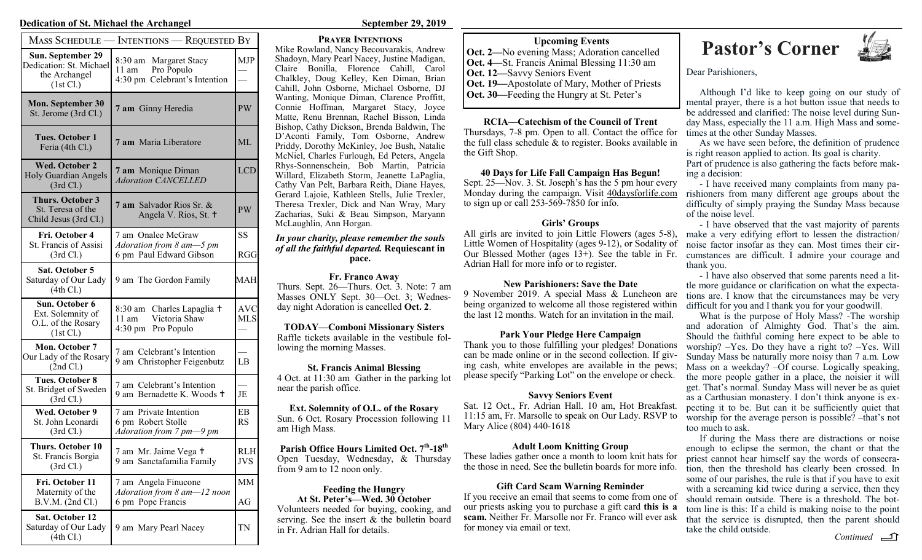### **Dedication of St. Michael the Archangel <b>September 29, 2019** September 29, 2019

| MASS SCHEDULE — INTENTIONS — REQUESTED BY                                  |                                                                                      |                                    |  |  |  |
|----------------------------------------------------------------------------|--------------------------------------------------------------------------------------|------------------------------------|--|--|--|
| Sun. September 29<br>Dedication: St. Michael<br>the Archangel<br>(1st Cl.) | 8:30 am Margaret Stacy<br>Pro Populo<br>11 am<br>4:30 pm Celebrant's Intention       | <b>MJP</b>                         |  |  |  |
| <b>Mon. September 30</b><br>St. Jerome (3rd Cl.)                           | 7 am Ginny Heredia                                                                   | PW                                 |  |  |  |
| <b>Tues. October 1</b><br>Feria (4th Cl.)                                  | 7 am Maria Liberatore                                                                | ML                                 |  |  |  |
| <b>Wed. October 2</b><br><b>Holy Guardian Angels</b><br>(3rd Cl.)          | 7 am Monique Diman<br><b>Adoration CANCELLED</b>                                     | <b>LCD</b>                         |  |  |  |
| <b>Thurs. October 3</b><br>St. Teresa of the<br>Child Jesus (3rd Cl.)      | <b>7 am</b> Salvador Rios Sr. &<br>Angela V. Rios, St. +                             | PW                                 |  |  |  |
| Fri. October 4<br>St. Francis of Assisi<br>(3rd Cl.)                       | 7 am Onalee McGraw<br>Adoration from 8 am-5 pm<br>6 pm Paul Edward Gibson            | SS<br>RGG                          |  |  |  |
| Sat. October 5<br>Saturday of Our Lady<br>(4th Cl.)                        | 9 am The Gordon Family                                                               | MAH                                |  |  |  |
| Sun. October 6<br>Ext. Solemnity of<br>O.L. of the Rosary<br>(1st Cl.)     | 8:30 am Charles Lapaglia +<br>Victoria Shaw<br>$11 \text{ am}$<br>4:30 pm Pro Populo | $\operatorname{AVC}$<br><b>MLS</b> |  |  |  |
| Mon. October 7<br>Our Lady of the Rosary<br>(2nd Cl.)                      | 7 am Celebrant's Intention<br>9 am Christopher Feigenbutz                            | LB                                 |  |  |  |
| <b>Tues. October 8</b><br>St. Bridget of Sweden<br>(3rd Cl.)               | 7 am Celebrant's Intention<br>9 am Bernadette K. Woods +                             | JE                                 |  |  |  |
| Wed. October 9<br>St. John Leonardi<br>(3rd Cl.)                           | 7 am Private Intention<br>6 pm Robert Stolle<br>Adoration from 7 pm-9 pm             | EB<br>RS                           |  |  |  |
| <b>Thurs. October 10</b><br>St. Francis Borgia<br>(3rd Cl.)                | 7 am Mr. Jaime Vega +<br>9 am Sanctafamilia Family                                   | <b>RLH</b><br>JVS                  |  |  |  |
| Fri. October 11<br>Maternity of the<br>B.V.M. (2nd Cl.)                    | 7 am Angela Finucone<br>Adoration from 8 am-12 noon<br>6 pm Pope Francis             | MМ<br>AG                           |  |  |  |
| Sat. October 12<br>Saturday of Our Lady<br>(4th Cl.)                       | 9 am Mary Pearl Nacey                                                                | TN                                 |  |  |  |

### **Prayer Intentions**

Mike Rowland, Nancy Becouvarakis, Andrew Shadoyn, Mary Pearl Nacey, Justine Madigan, Claire Bonilla, Florence Cahill, Carol Chalkley, Doug Kelley, Ken Diman, Brian Cahill, John Osborne, Michael Osborne, DJ Wanting, Monique Diman, Clarence Proffitt, Connie Hoffman, Margaret Stacy, Joyce Matte, Renu Brennan, Rachel Bisson, Linda Bishop, Cathy Dickson, Brenda Baldwin, The D'Aconti Family, Tom Osborne, Andrew Priddy, Dorothy McKinley, Joe Bush, Natalie McNiel, Charles Furlough, Ed Peters, Angela Rhys-Sonnenschein, Bob Martin, Patricia Willard, Elizabeth Storm, Jeanette LaPaglia, Cathy Van Pelt, Barbara Reith, Diane Hayes, Gerard Lajoie, Kathleen Stells, Julie Trexler, Theresa Trexler, Dick and Nan Wray, Mary Zacharias, Suki & Beau Simpson, Maryann McLaughlin, Ann Horgan.

### *In your charity, please remember the souls of all the faithful departed.* **Requiescant in pace.**

**Fr. Franco Away** Thurs. Sept. 26—Thurs. Oct. 3. Note: 7 am Masses ONLY Sept. 30—Oct. 3; Wednesday night Adoration is cancelled **Oct. 2**.

**TODAY—Comboni Missionary Sisters** Raffle tickets available in the vestibule following the morning Masses.

**St. Francis Animal Blessing** 4 Oct. at 11:30 am Gather in the parking lot near the parish office.

**Ext. Solemnity of O.L. of the Rosary** Sun. 6 Oct. Rosary Procession following 11 am High Mass.

**Parish Office Hours Limited Oct. 7th -18th** Open Tuesday, Wednesday, & Thursday from 9 am to 12 noon only.

### **Feeding the Hungry At St. Peter's—Wed. 30 October**

Volunteers needed for buying, cooking, and serving. See the insert & the bulletin board in Fr. Adrian Hall for details.

**Oct. 2—**No evening Mass; Adoration cancelled **Oct. 4—**St. Francis Animal Blessing 11:30 am **Oct. 12—**Savvy Seniors Event **Oct. 19—**Apostolate of Mary, Mother of Priests **Oct. 30—**Feeding the Hungry at St. Peter's

**RCIA—Catechism of the Council of Trent** Thursdays, 7-8 pm. Open to all. Contact the office for the full class schedule & to register. Books available in the Gift Shop.

**40 Days for Life Fall Campaign Has Begun!**

Sept. 25—Nov. 3. St. Joseph's has the 5 pm hour every Monday during the campaign. Visit 40daysforlife.com to sign up or call  $253-569-7850$  for info.

### **Girls' Groups**

All girls are invited to join Little Flowers (ages 5-8), Little Women of Hospitality (ages 9-12), or Sodality of Our Blessed Mother (ages  $13+$ ). See the table in Fr. Adrian Hall for more info or to register.

### **New Parishioners: Save the Date**

9 November 2019. A special Mass & Luncheon are being organized to welcome all those registered within the last 12 months. Watch for an invitation in the mail.

### **Park Your Pledge Here Campaign**

Thank you to those fulfilling your pledges! Donations can be made online or in the second collection. If giving cash, white envelopes are available in the pews; please specify "Parking Lot" on the envelope or check.

### **Savvy Seniors Event**

Sat. 12 Oct., Fr. Adrian Hall. 10 am, Hot Breakfast. 11:15 am, Fr. Marsolle to speak on Our Lady. RSVP to Mary Alice (804) 440-1618

### **Adult Loom Knitting Group**

These ladies gather once a month to loom knit hats for the those in need. See the bulletin boards for more info.

### **Gift Card Scam Warning Reminder**

If you receive an email that seems to come from one of our priests asking you to purchase a gift card **this is a scam.** Neither Fr. Marsolle nor Fr. Franco will ever ask for money via email or text.

# Upcoming Events<br>
ing Mass; Adoration cancelled **Pastor's Corner**



Dear Parishioners,

Although I'd like to keep going on our study of mental prayer, there is a hot button issue that needs to be addressed and clarified: The noise level during Sunday Mass, especially the 11 a.m. High Mass and sometimes at the other Sunday Masses.

As we have seen before, the definition of prudence is right reason applied to action. Its goal is charity. Part of prudence is also gathering the facts before making a decision:

- I have received many complaints from many parishioners from many different age groups about the difficulty of simply praying the Sunday Mass because of the noise level.

- I have observed that the vast majority of parents make a very edifying effort to lessen the distraction/ noise factor insofar as they can. Most times their circumstances are difficult. I admire your courage and thank you.

- I have also observed that some parents need a little more guidance or clarification on what the expectations are. I know that the circumstances may be very difficult for you and I thank you for your goodwill.

What is the purpose of Holy Mass? -The worship and adoration of Almighty God. That's the aim. Should the faithful coming here expect to be able to worship? –Yes. Do they have a right to? –Yes. Will Sunday Mass be naturally more noisy than 7 a.m. Low Mass on a weekday? –Of course. Logically speaking, the more people gather in a place, the noisier it will get. That's normal. Sunday Mass will never be as quiet as a Carthusian monastery. I don't think anyone is expecting it to be. But can it be sufficiently quiet that worship for the average person is possible? –that's not too much to ask.

If during the Mass there are distractions or noise enough to eclipse the sermon, the chant or that the priest cannot hear himself say the words of consecration, then the threshold has clearly been crossed. In some of our parishes, the rule is that if you have to exit with a screaming kid twice during a service, then they should remain outside. There is a threshold. The bottom line is this: If a child is making noise to the point that the service is disrupted, then the parent should take the child outside.